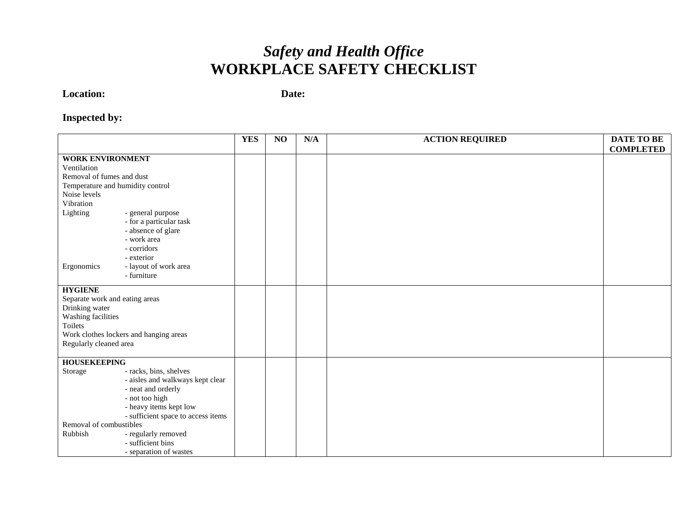## *Safety and Health Office*  **WORKPLACE SAFETY CHECKLIST**

**Location:**

**Date:** 

## **Inspected by:**

|                                  |                                        | <b>YES</b> | NO | N/A | <b>ACTION REQUIRED</b> | <b>DATE TO BE</b> |
|----------------------------------|----------------------------------------|------------|----|-----|------------------------|-------------------|
|                                  |                                        |            |    |     |                        | <b>COMPLETED</b>  |
| <b>WORK ENVIRONMENT</b>          |                                        |            |    |     |                        |                   |
| Ventilation                      |                                        |            |    |     |                        |                   |
| Removal of fumes and dust        |                                        |            |    |     |                        |                   |
| Temperature and humidity control |                                        |            |    |     |                        |                   |
| Noise levels                     |                                        |            |    |     |                        |                   |
| Vibration                        |                                        |            |    |     |                        |                   |
| Lighting                         | - general purpose                      |            |    |     |                        |                   |
|                                  | - for a particular task                |            |    |     |                        |                   |
|                                  | - absence of glare                     |            |    |     |                        |                   |
|                                  | - work area                            |            |    |     |                        |                   |
|                                  | - corridors                            |            |    |     |                        |                   |
|                                  | - exterior                             |            |    |     |                        |                   |
| Ergonomics                       | - layout of work area                  |            |    |     |                        |                   |
|                                  | - furniture                            |            |    |     |                        |                   |
|                                  |                                        |            |    |     |                        |                   |
| <b>HYGIENE</b>                   |                                        |            |    |     |                        |                   |
| Separate work and eating areas   |                                        |            |    |     |                        |                   |
| Drinking water                   |                                        |            |    |     |                        |                   |
| Washing facilities               |                                        |            |    |     |                        |                   |
| Toilets                          |                                        |            |    |     |                        |                   |
|                                  | Work clothes lockers and hanging areas |            |    |     |                        |                   |
| Regularly cleaned area           |                                        |            |    |     |                        |                   |
|                                  |                                        |            |    |     |                        |                   |
|                                  | <b>HOUSEKEEPING</b>                    |            |    |     |                        |                   |
| Storage                          | - racks, bins, shelves                 |            |    |     |                        |                   |
|                                  | - aisles and walkways kept clear       |            |    |     |                        |                   |
|                                  | - neat and orderly                     |            |    |     |                        |                   |
|                                  | - not too high                         |            |    |     |                        |                   |
|                                  | - heavy items kept low                 |            |    |     |                        |                   |
|                                  | - sufficient space to access items     |            |    |     |                        |                   |
| Removal of combustibles          |                                        |            |    |     |                        |                   |
| - regularly removed<br>Rubbish   |                                        |            |    |     |                        |                   |
|                                  | - sufficient bins                      |            |    |     |                        |                   |
|                                  | - separation of wastes                 |            |    |     |                        |                   |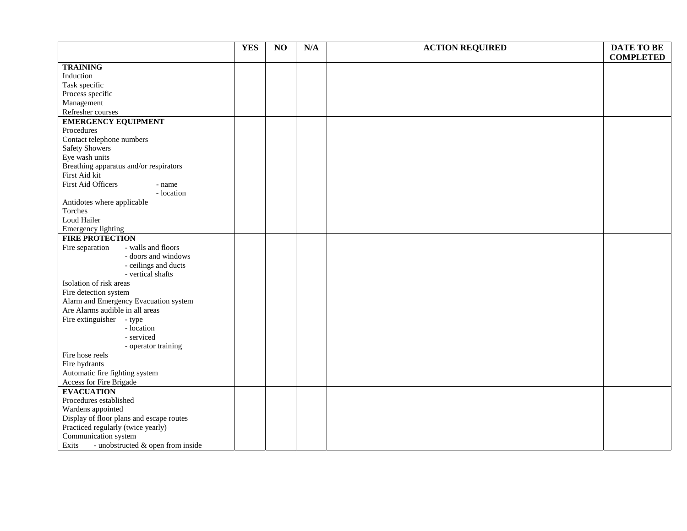|                                               | <b>YES</b> | NO | N/A | <b>ACTION REQUIRED</b> | <b>DATE TO BE</b> |
|-----------------------------------------------|------------|----|-----|------------------------|-------------------|
|                                               |            |    |     |                        | <b>COMPLETED</b>  |
| <b>TRAINING</b>                               |            |    |     |                        |                   |
| Induction                                     |            |    |     |                        |                   |
| Task specific                                 |            |    |     |                        |                   |
| Process specific                              |            |    |     |                        |                   |
| Management                                    |            |    |     |                        |                   |
| Refresher courses                             |            |    |     |                        |                   |
| <b>EMERGENCY EQUIPMENT</b>                    |            |    |     |                        |                   |
| Procedures                                    |            |    |     |                        |                   |
| Contact telephone numbers                     |            |    |     |                        |                   |
| <b>Safety Showers</b>                         |            |    |     |                        |                   |
| Eye wash units                                |            |    |     |                        |                   |
| Breathing apparatus and/or respirators        |            |    |     |                        |                   |
| First Aid kit                                 |            |    |     |                        |                   |
| First Aid Officers<br>- name                  |            |    |     |                        |                   |
| - location                                    |            |    |     |                        |                   |
| Antidotes where applicable                    |            |    |     |                        |                   |
| Torches                                       |            |    |     |                        |                   |
| Loud Hailer                                   |            |    |     |                        |                   |
| <b>Emergency lighting</b>                     |            |    |     |                        |                   |
| <b>FIRE PROTECTION</b>                        |            |    |     |                        |                   |
| - walls and floors<br>Fire separation         |            |    |     |                        |                   |
| - doors and windows                           |            |    |     |                        |                   |
| - ceilings and ducts                          |            |    |     |                        |                   |
| - vertical shafts                             |            |    |     |                        |                   |
| Isolation of risk areas                       |            |    |     |                        |                   |
| Fire detection system                         |            |    |     |                        |                   |
| Alarm and Emergency Evacuation system         |            |    |     |                        |                   |
| Are Alarms audible in all areas               |            |    |     |                        |                   |
| Fire extinguisher - type                      |            |    |     |                        |                   |
| - location                                    |            |    |     |                        |                   |
| - serviced                                    |            |    |     |                        |                   |
| - operator training                           |            |    |     |                        |                   |
| Fire hose reels                               |            |    |     |                        |                   |
| Fire hydrants                                 |            |    |     |                        |                   |
| Automatic fire fighting system                |            |    |     |                        |                   |
| Access for Fire Brigade                       |            |    |     |                        |                   |
| <b>EVACUATION</b>                             |            |    |     |                        |                   |
| Procedures established                        |            |    |     |                        |                   |
| Wardens appointed                             |            |    |     |                        |                   |
| Display of floor plans and escape routes      |            |    |     |                        |                   |
| Practiced regularly (twice yearly)            |            |    |     |                        |                   |
| Communication system                          |            |    |     |                        |                   |
| - unobstructed $\&$ open from inside<br>Exits |            |    |     |                        |                   |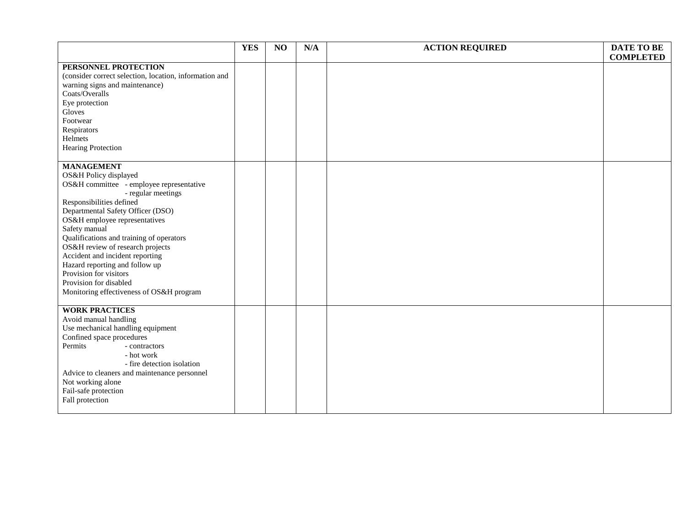|                                                                                                                                                                                                                                                                                                                                                                                                                                                                                      | <b>YES</b> | NO | N/A | <b>ACTION REQUIRED</b> | <b>DATE TO BE</b><br><b>COMPLETED</b> |
|--------------------------------------------------------------------------------------------------------------------------------------------------------------------------------------------------------------------------------------------------------------------------------------------------------------------------------------------------------------------------------------------------------------------------------------------------------------------------------------|------------|----|-----|------------------------|---------------------------------------|
| PERSONNEL PROTECTION<br>(consider correct selection, location, information and<br>warning signs and maintenance)<br>Coats/Overalls<br>Eye protection<br>Gloves<br>Footwear<br>Respirators<br>Helmets<br><b>Hearing Protection</b>                                                                                                                                                                                                                                                    |            |    |     |                        |                                       |
| <b>MANAGEMENT</b><br>OS&H Policy displayed<br>OS&H committee - employee representative<br>- regular meetings<br>Responsibilities defined<br>Departmental Safety Officer (DSO)<br>OS&H employee representatives<br>Safety manual<br>Qualifications and training of operators<br>OS&H review of research projects<br>Accident and incident reporting<br>Hazard reporting and follow up<br>Provision for visitors<br>Provision for disabled<br>Monitoring effectiveness of OS&H program |            |    |     |                        |                                       |
| <b>WORK PRACTICES</b><br>Avoid manual handling<br>Use mechanical handling equipment<br>Confined space procedures<br>Permits<br>- contractors<br>- hot work<br>- fire detection isolation<br>Advice to cleaners and maintenance personnel<br>Not working alone<br>Fail-safe protection<br>Fall protection                                                                                                                                                                             |            |    |     |                        |                                       |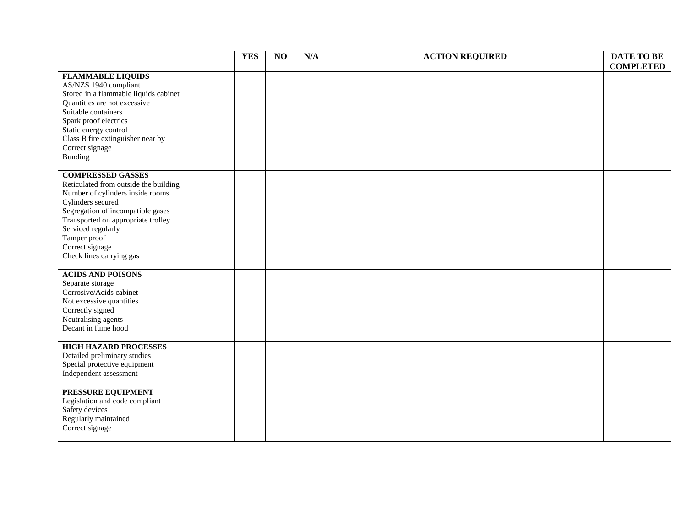|                                                                                                                                                                                                                                                                                            | <b>YES</b> | NO | N/A | <b>ACTION REQUIRED</b> | DATE TO BE<br><b>COMPLETED</b> |
|--------------------------------------------------------------------------------------------------------------------------------------------------------------------------------------------------------------------------------------------------------------------------------------------|------------|----|-----|------------------------|--------------------------------|
| <b>FLAMMABLE LIQUIDS</b><br>AS/NZS 1940 compliant<br>Stored in a flammable liquids cabinet<br>Quantities are not excessive<br>Suitable containers<br>Spark proof electrics<br>Static energy control<br>Class B fire extinguisher near by<br>Correct signage<br>Bunding                     |            |    |     |                        |                                |
| <b>COMPRESSED GASSES</b><br>Reticulated from outside the building<br>Number of cylinders inside rooms<br>Cylinders secured<br>Segregation of incompatible gases<br>Transported on appropriate trolley<br>Serviced regularly<br>Tamper proof<br>Correct signage<br>Check lines carrying gas |            |    |     |                        |                                |
| <b>ACIDS AND POISONS</b><br>Separate storage<br>Corrosive/Acids cabinet<br>Not excessive quantities<br>Correctly signed<br>Neutralising agents<br>Decant in fume hood                                                                                                                      |            |    |     |                        |                                |
| <b>HIGH HAZARD PROCESSES</b><br>Detailed preliminary studies<br>Special protective equipment<br>Independent assessment                                                                                                                                                                     |            |    |     |                        |                                |
| PRESSURE EQUIPMENT<br>Legislation and code compliant<br>Safety devices<br>Regularly maintained<br>Correct signage                                                                                                                                                                          |            |    |     |                        |                                |